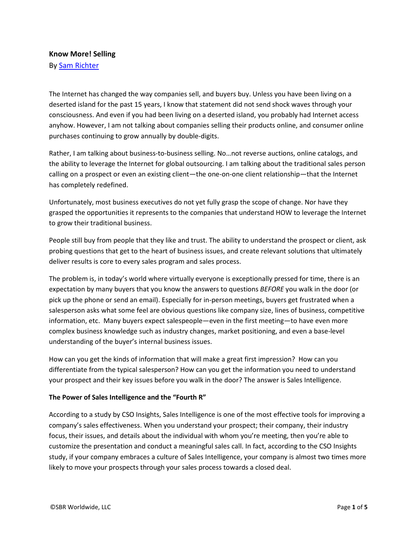## **Know More! Selling**

By [Sam Richter](https://plus.google.com/100876012336944702287/about)

The Internet has changed the way companies sell, and buyers buy. Unless you have been living on a deserted island for the past 15 years, I know that statement did not send shock waves through your consciousness. And even if you had been living on a deserted island, you probably had Internet access anyhow. However, I am not talking about companies selling their products online, and consumer online purchases continuing to grow annually by double-digits.

Rather, I am talking about business-to-business selling. No…not reverse auctions, online catalogs, and the ability to leverage the Internet for global outsourcing. I am talking about the traditional sales person calling on a prospect or even an existing client—the one-on-one client relationship—that the Internet has completely redefined.

Unfortunately, most business executives do not yet fully grasp the scope of change. Nor have they grasped the opportunities it represents to the companies that understand HOW to leverage the Internet to grow their traditional business.

People still buy from people that they like and trust. The ability to understand the prospect or client, ask probing questions that get to the heart of business issues, and create relevant solutions that ultimately deliver results is core to every sales program and sales process.

The problem is, in today's world where virtually everyone is exceptionally pressed for time, there is an expectation by many buyers that you know the answers to questions *BEFORE* you walk in the door (or pick up the phone or send an email). Especially for in-person meetings, buyers get frustrated when a salesperson asks what some feel are obvious questions like company size, lines of business, competitive information, etc. Many buyers expect salespeople—even in the first meeting—to have even more complex business knowledge such as industry changes, market positioning, and even a base-level understanding of the buyer's internal business issues.

How can you get the kinds of information that will make a great first impression? How can you differentiate from the typical salesperson? How can you get the information you need to understand your prospect and their key issues before you walk in the door? The answer is Sales Intelligence.

## **The Power of Sales Intelligence and the "Fourth R"**

According to a study by CSO Insights, Sales Intelligence is one of the most effective tools for improving a company's sales effectiveness. When you understand your prospect; their company, their industry focus, their issues, and details about the individual with whom you're meeting, then you're able to customize the presentation and conduct a meaningful sales call. In fact, according to the CSO Insights study, if your company embraces a culture of Sales Intelligence, your company is almost two times more likely to move your prospects through your sales process towards a closed deal.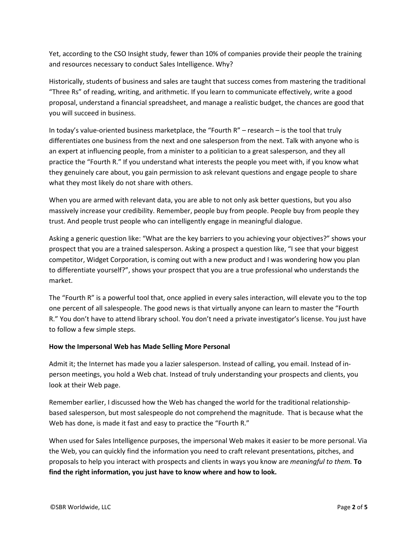Yet, according to the CSO Insight study, fewer than 10% of companies provide their people the training and resources necessary to conduct Sales Intelligence. Why?

Historically, students of business and sales are taught that success comes from mastering the traditional "Three Rs" of reading, writing, and arithmetic. If you learn to communicate effectively, write a good proposal, understand a financial spreadsheet, and manage a realistic budget, the chances are good that you will succeed in business.

In today's value-oriented business marketplace, the "Fourth R" – research – is the tool that truly differentiates one business from the next and one salesperson from the next. Talk with anyone who is an expert at influencing people, from a minister to a politician to a great salesperson, and they all practice the "Fourth R." If you understand what interests the people you meet with, if you know what they genuinely care about, you gain permission to ask relevant questions and engage people to share what they most likely do not share with others.

When you are armed with relevant data, you are able to not only ask better questions, but you also massively increase your credibility. Remember, people buy from people. People buy from people they trust. And people trust people who can intelligently engage in meaningful dialogue.

Asking a generic question like: "What are the key barriers to you achieving your objectives?" shows your prospect that you are a trained salesperson. Asking a prospect a question like, "I see that your biggest competitor, Widget Corporation, is coming out with a new product and I was wondering how you plan to differentiate yourself?", shows your prospect that you are a true professional who understands the market.

The "Fourth R" is a powerful tool that, once applied in every sales interaction, will elevate you to the top one percent of all salespeople. The good news is that virtually anyone can learn to master the "Fourth R." You don't have to attend library school. You don't need a private investigator's license. You just have to follow a few simple steps.

## **How the Impersonal Web has Made Selling More Personal**

Admit it; the Internet has made you a lazier salesperson. Instead of calling, you email. Instead of inperson meetings, you hold a Web chat. Instead of truly understanding your prospects and clients, you look at their Web page.

Remember earlier, I discussed how the Web has changed the world for the traditional relationshipbased salesperson, but most salespeople do not comprehend the magnitude. That is because what the Web has done, is made it fast and easy to practice the "Fourth R."

When used for Sales Intelligence purposes, the impersonal Web makes it easier to be more personal. Via the Web, you can quickly find the information you need to craft relevant presentations, pitches, and proposals to help you interact with prospects and clients in ways you know are *meaningful to them.* **To find the right information, you just have to know where and how to look.**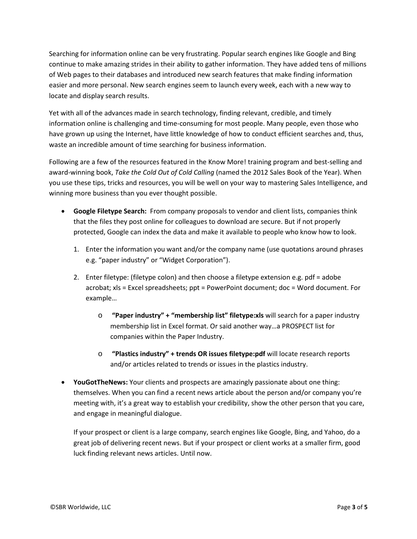Searching for information online can be very frustrating. Popular search engines like Google and Bing continue to make amazing strides in their ability to gather information. They have added tens of millions of Web pages to their databases and introduced new search features that make finding information easier and more personal. New search engines seem to launch every week, each with a new way to locate and display search results.

Yet with all of the advances made in search technology, finding relevant, credible, and timely information online is challenging and time-consuming for most people. Many people, even those who have grown up using the Internet, have little knowledge of how to conduct efficient searches and, thus, waste an incredible amount of time searching for business information.

Following are a few of the resources featured in the Know More! training program and best-selling and award-winning book, *Take the Cold Out of Cold Calling* (named the 2012 Sales Book of the Year). When you use these tips, tricks and resources, you will be well on your way to mastering Sales Intelligence, and winning more business than you ever thought possible.

- **Google Filetype Search:** From company proposals to vendor and client lists, companies think that the files they post online for colleagues to download are secure. But if not properly protected, Google can index the data and make it available to people who know how to look.
	- 1. Enter the information you want and/or the company name (use quotations around phrases e.g. "paper industry" or "Widget Corporation").
	- 2. Enter filetype: (filetype colon) and then choose a filetype extension e.g. pdf = adobe acrobat; xls = Excel spreadsheets; ppt = PowerPoint document; doc = Word document. For example…
		- o **"Paper industry" + "membership list" filetype:xls** will search for a paper industry membership list in Excel format. Or said another way…a PROSPECT list for companies within the Paper Industry.
		- o **"Plastics industry" + trends OR issues filetype:pdf** will locate research reports and/or articles related to trends or issues in the plastics industry.
- **YouGotTheNews:** Your clients and prospects are amazingly passionate about one thing: themselves. When you can find a recent news article about the person and/or company you're meeting with, it's a great way to establish your credibility, show the other person that you care, and engage in meaningful dialogue.

If your prospect or client is a large company, search engines like Google, Bing, and Yahoo, do a great job of delivering recent news. But if your prospect or client works at a smaller firm, good luck finding relevant news articles. Until now.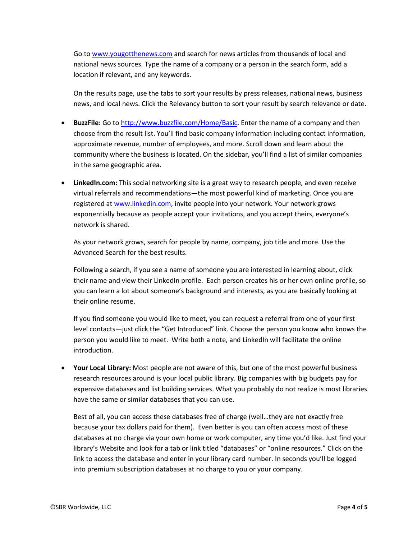Go to [www.yougotthenews.com](http://www.yougotthenews.com/) and search for news articles from thousands of local and national news sources. Type the name of a company or a person in the search form, add a location if relevant, and any keywords.

On the results page, use the tabs to sort your results by press releases, national news, business news, and local news. Click the Relevancy button to sort your result by search relevance or date.

- **BuzzFile:** Go to [http://www.buzzfile.com/Home/Basic.](http://www.buzzfile.com/Home/Basic) Enter the name of a company and then choose from the result list. You'll find basic company information including contact information, approximate revenue, number of employees, and more. Scroll down and learn about the community where the business is located. On the sidebar, you'll find a list of similar companies in the same geographic area.
- **LinkedIn.com:** This social networking site is a great way to research people, and even receive virtual referrals and recommendations—the most powerful kind of marketing. Once you are registered a[t www.linkedin.com,](http://www.linkedin.com/) invite people into your network. Your network grows exponentially because as people accept your invitations, and you accept theirs, everyone's network is shared.

As your network grows, search for people by name, company, job title and more. Use the Advanced Search for the best results.

Following a search, if you see a name of someone you are interested in learning about, click their name and view their LinkedIn profile. Each person creates his or her own online profile, so you can learn a lot about someone's background and interests, as you are basically looking at their online resume.

If you find someone you would like to meet, you can request a referral from one of your first level contacts—just click the "Get Introduced" link. Choose the person you know who knows the person you would like to meet. Write both a note, and LinkedIn will facilitate the online introduction.

• **Your Local Library:** Most people are not aware of this, but one of the most powerful business research resources around is your local public library. Big companies with big budgets pay for expensive databases and list building services. What you probably do not realize is most libraries have the same or similar databases that you can use.

Best of all, you can access these databases free of charge (well…they are not exactly free because your tax dollars paid for them). Even better is you can often access most of these databases at no charge via your own home or work computer, any time you'd like. Just find your library's Website and look for a tab or link titled "databases" or "online resources." Click on the link to access the database and enter in your library card number. In seconds you'll be logged into premium subscription databases at no charge to you or your company.